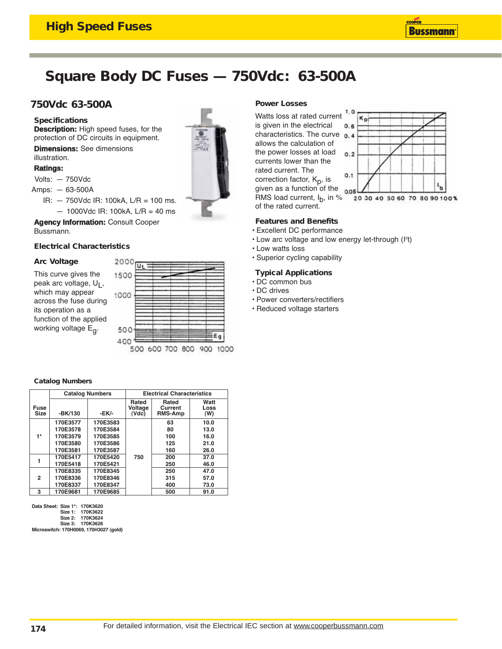## **Square Body DC Fuses — 750Vdc: 63-500A**

## **750Vdc 63-500A**

## **Specifications**

**Description:** High speed fuses, for the protection of DC circuits in equipment.

**Dimensions:** See dimensions illustration.

### **Ratings:**

Volts: — 750Vdc

- Amps: 63-500A
	- IR: 750Vdc IR: 100kA, L/R = 100 ms.
	- $-$  1000Vdc IR: 100kA, L/R = 40 ms

**Agency Information:** Consult Cooper Bussmann.

## **Electrical Characteristics**

## **Arc Voltage**

This curve gives the peak arc voltage, U<sub>L</sub>, which may appear across the fuse during its operation as a function of the applied working voltage E<sub>q</sub>.



### **Catalog Numbers**

|                            |          | <b>Catalog Numbers</b> | <b>Electrical Characteristics</b> |                                    |                     |  |
|----------------------------|----------|------------------------|-----------------------------------|------------------------------------|---------------------|--|
| <b>Fuse</b><br><b>Size</b> | -BK/130  | -EK/-                  | Rated<br>Voltage<br>(Vdc)         | Rated<br>Current<br><b>RMS-Amp</b> | Watt<br>Loss<br>(W) |  |
|                            | 170E3577 | 170E3583               |                                   | 63                                 | 10.0                |  |
|                            | 170E3578 | 170E3584               |                                   | 80                                 | 13.0                |  |
| 1*                         | 170E3579 | 170E3585               |                                   | 100                                | 16.0                |  |
|                            | 170E3580 | 170E3586               |                                   | 125                                | 21.0                |  |
|                            | 170E3581 | 170E3587               |                                   | 160                                | 26.0                |  |
|                            | 170E5417 | 170E5420               | 750                               | 200                                | 37.0                |  |
|                            | 170E5418 | 170E5421               |                                   | 250                                | 46.0                |  |
| 2                          | 170E8335 | 170E8345               |                                   | 250                                | 47.0                |  |
|                            | 170E8336 | 170E8346               |                                   | 315                                | 57.0                |  |
|                            | 170E8337 | 170E8347               |                                   | 400                                | 73.0                |  |
| 3                          | 170E9681 | 170E9685               |                                   | 500                                | 91.0                |  |

Data Sheet: Size 1\*: 170K3620

Size 1: 170K3622

Size 2: 170K3624 Size 3: 170K3626

Microswitch: 170H0069, 170H3027 (gold)

## **Power Losses**

Watts loss at rated current is given in the electrical characteristics. The curve  $0.4$ allows the calculation of the power losses at load currents lower than the rated current. The correction factor, K<sub>p</sub>, is given as a function of the RMS load current,  $I_b$ , in %



of the rated current.

## **Features and Benefits**

- Excellent DC performance
- $\cdot$  Low arc voltage and low energy let-through ( $\binom{1^2t}{k}$
- Low watts loss
- Superior cycling capability

## **Typical Applications**

- DC common bus
- DC drives
- Power converters/rectifiers
- Reduced voltage starters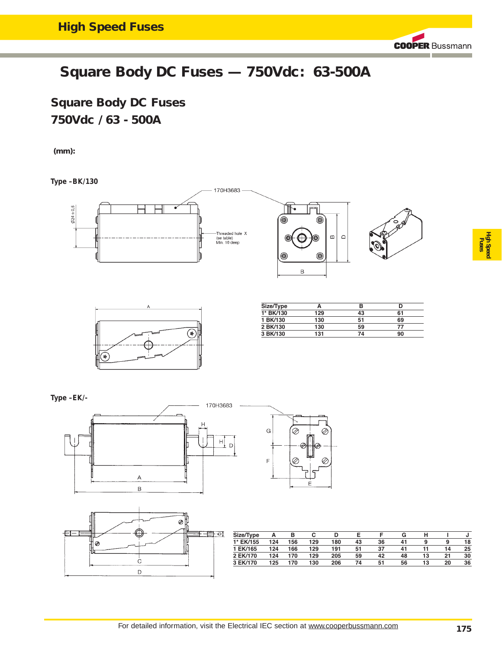## **Square Body DC Fuses — 750Vdc: 63-500A**

**Square Body DC Fuses 750Vdc / 63 - 500A** 

**(mm):**

**Type –BK/130**



**Type –EK/-**







| Size/Type | А   | в   | ֊   |     |    |    | G  |    |    |    |
|-----------|-----|-----|-----|-----|----|----|----|----|----|----|
| 1* EK/155 | 124 | 156 | 129 | 180 | 43 | 36 | 41 | 9  | 9  | 18 |
| 1 EK/165  | 124 | 166 | 129 | 191 | 51 | 37 | 41 |    | 14 | 25 |
| 2 EK/170  | 124 | 170 | 129 | 205 | 59 | 42 | 48 | 13 | 21 | 30 |
| 3 EK/170  | 125 | 170 | 130 | 206 | 74 | 51 | 56 | 13 | 20 | 36 |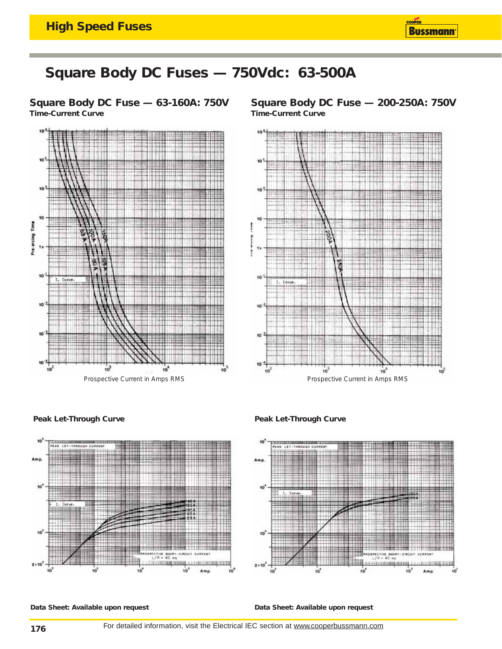

## **Square Body DC Fuses — 750Vdc: 63-500A**

**Square Body DC Fuse — 63-160A: 750V Time-Current Curve**



**Square Body DC Fuse — 200-250A: 750V Time-Current Curve**









**Data Sheet: Available upon request Data Sheet: Available upon request**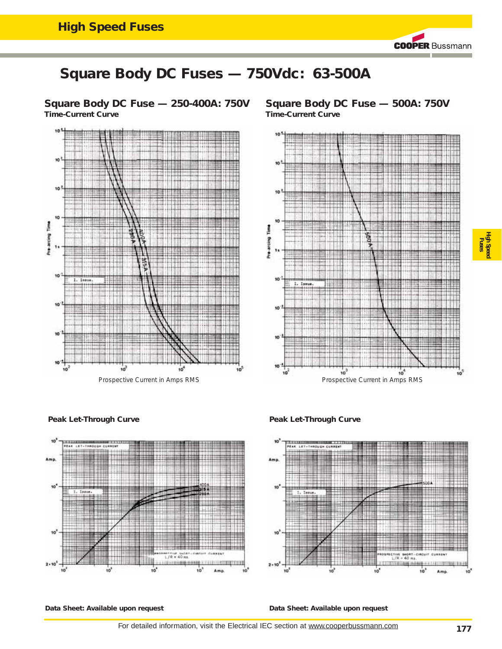# **Square Body DC Fuses — 750Vdc: 63-500A**

**Square Body DC Fuse — 250-400A: 750V Time-Current Curve**



**Square Body DC Fuse — 500A: 750V Time-Current Curve**



## **High Speed Fuses**

**Peak Let-Through Curve** *Peak Let-Through Curve* 





**Data Sheet: Available upon request Data Sheet: Available upon request**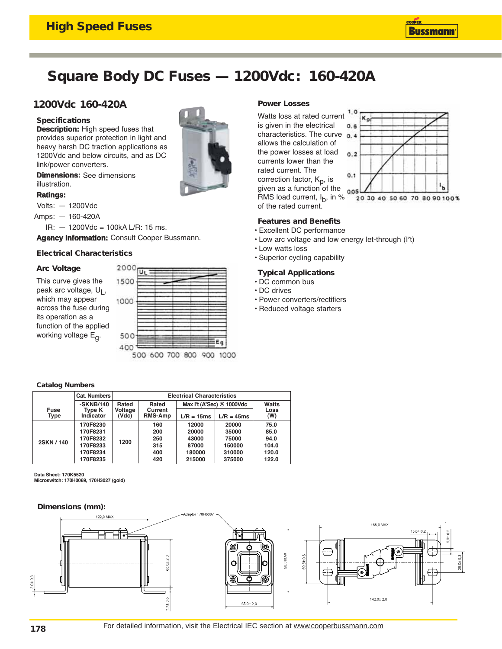## **Square Body DC Fuses — 1200Vdc: 160-420A**

## **1200Vdc 160-420A**

## **Specifications**

**Description:** High speed fuses that provides superior protection in light and heavy harsh DC traction applications as 1200Vdc and below circuits, and as DC link/power converters.

**Dimensions:** See dimensions illustration.

#### **Ratings:**

Volts: — 1200Vdc

Amps: — 160-420A

 $IR: -1200$ Vdc = 100kA L/R: 15 ms.

**Agency Information:** Consult Cooper Bussmann.

## **Electrical Characteristics**

## **Arc Voltage**

This curve gives the peak arc voltage, U<sub>L</sub>, which may appear across the fuse during its operation as a function of the applied working voltage  $E_{\alpha}$ .



## **Power Losses**

Watts loss at rated current is given in the electrical characteristics. The curve  $0.4$ allows the calculation of the power losses at load currents lower than the rated current. The correction factor, K<sub>p</sub>, is given as a function of the RMS load current,  $I_b$ , in % of the rated current.



### **Features and Benefits**

- Excellent DC performance
- $\cdot$  Low arc voltage and low energy let-through ( $\binom{1^2t}{k}$
- Low watts loss
- Superior cycling capability

## **Typical Applications**

- DC common bus
- DC drives
- Power converters/rectifiers
- Reduced voltage starters

### **Catalog Numbers**

|              | Cat. Numbers        | <b>Electrical Characteristics</b> |                           |                                          |              |             |  |
|--------------|---------------------|-----------------------------------|---------------------------|------------------------------------------|--------------|-------------|--|
| -SKNB/140    |                     | Rated                             | Rated                     | Max $l2t$ (A <sup>2</sup> Sec) @ 1000Vdc | Watts        |             |  |
| Fuse<br>Type | Type K<br>Indicator | Voltage<br>(Vdc)                  | Current<br><b>RMS-Amp</b> | $L/R = 15ms$                             | $L/R = 45ms$ | Loss<br>(W) |  |
|              | 170F8230            | 1200                              | 160                       | 12000                                    | 20000        | 75.0        |  |
|              | 170F8231            |                                   | 200                       | 20000                                    | 35000        | 85.0        |  |
| 2SKN/140     | 170F8232            |                                   | 250                       | 43000                                    | 75000        | 94.0        |  |
|              | 170F8233            |                                   | 315                       | 87000                                    | 150000       | 104.0       |  |
|              | 170F8234            |                                   | 400                       | 180000                                   | 310000       | 120.0       |  |
|              | 170F8235            |                                   | 420                       | 215000                                   | 375000       | 122.0       |  |

Data Sheet: 170K5520

Microswitch: 170H0069, 170H3027 (gold)

### **Dimensions (mm):**

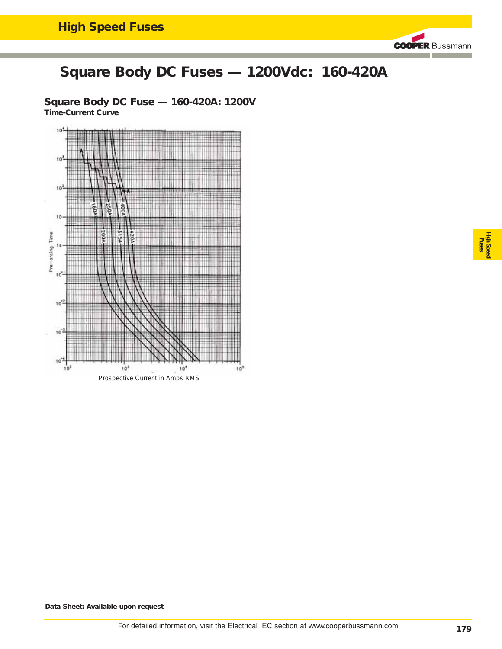# **Square Body DC Fuses — 1200Vdc: 160-420A**

**Square Body DC Fuse — 160-420A: 1200V Time-Current Curve**



**High Speed Fuses**

**Data Sheet: Available upon request**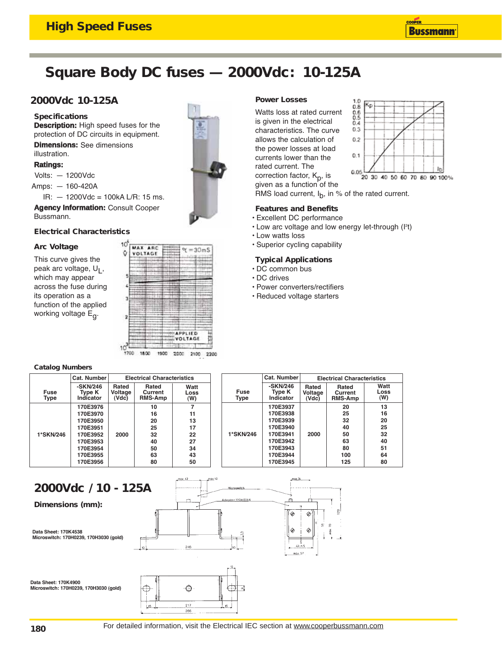**Description:** High speed fuses for the protection of DC circuits in equipment.

 $IR: -1200$ Vdc = 100kA L/R: 15 ms. **Agency Information:** Consult Cooper

**Dimensions:** See dimensions

# **Square Body DC fuses — 2000Vdc: 10-125A**

## **2000Vdc 10-125A**

**Specifications**

Volts: — 1200Vdc Amps: — 160-420A

illustration. **Ratings:**

### **Electrical Characteristics**

### **Arc Voltage**

Bussmann.

This curve gives the peak arc voltage, U<sub>L</sub>, which may appear across the fuse during its operation as a function of the applied working voltage  $E_{\alpha}$ .



#### **Catalog Numbers**

|                            | Cat. Number                       |                           | <b>Electrical Characteristics</b>  |                     |                     | Cat. Number                     | <b>Electrical Characteristics</b> |                                    |                     |
|----------------------------|-----------------------------------|---------------------------|------------------------------------|---------------------|---------------------|---------------------------------|-----------------------------------|------------------------------------|---------------------|
| <b>Fuse</b><br><b>Type</b> | $-SKN/246$<br>Type K<br>Indicator | Rated<br>Voltage<br>(Vdc) | Rated<br>Current<br><b>RMS-Amp</b> | Watt<br>Loss<br>(W) | <b>Fuse</b><br>Type | -SKN/246<br>Type K<br>Indicator | Rated<br>Voltage<br>(Vdc)         | Rated<br>Current<br><b>RMS-Amp</b> | Watt<br>Loss<br>(W) |
|                            | 170E3976                          |                           | 10                                 |                     |                     | 170E3937                        |                                   | 20                                 | 13                  |
|                            | 170E3970                          |                           | 16                                 | 11                  |                     | 170E3938                        |                                   | 25                                 | 16                  |
|                            | 170E3950                          |                           | 20                                 | 13                  |                     | 170E3939                        |                                   | 32                                 | 20                  |
|                            | 170E3951                          |                           | 25                                 | 17                  |                     | 170E3940                        |                                   | 40                                 | 25                  |
| 1*SKN/246                  | 170E3952                          | 2000                      | 32                                 | 22                  | 1*SKN/246           | 170E3941                        | 2000                              | 50                                 | 32                  |
|                            | 170E3953                          |                           | 40                                 | 27                  |                     | 170E3942                        |                                   | 63                                 | 40                  |
|                            | 170E3954                          |                           | 50                                 | 34                  |                     | 170E3943                        |                                   | 80                                 | 51                  |
|                            | 170E3955                          |                           | 63                                 | 43                  |                     | 170E3944                        |                                   | 100                                | 64                  |
|                            | 170E3956                          |                           | 80                                 | 50                  |                     | 170E3945                        |                                   | 125                                | 80                  |

## **2000Vdc / 10 - 125A**

**Dimensions (mm):**

Data Sheet: 170K4538 Microswitch: 170H0239, 170H3030 (gold)

Data Sheet: 170K4900 Microswitch: 170H0239, 170H3030 (gold)



## **Power Losses**

Watts loss at rated current is given in the electrical characteristics. The curve allows the calculation of the power losses at load currents lower than the rated current. The correction factor,  $K_p$ , is given as a function of the



RMS load current,  $I_{b}$ , in % of the rated current.

## **Features and Benefits**

- Excellent DC performance
- $\cdot$  Low arc voltage and low energy let-through ( $P$ t)
- Low watts loss
- Superior cycling capability

## **Typical Applications**

- DC common bus
- DC drives
- Power converters/rectifiers
- Reduced voltage starters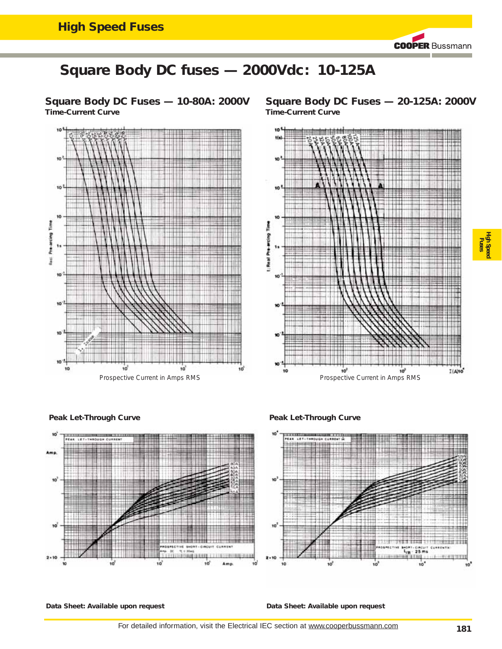**Square Body DC Fuses — 10-80A: 2000V Time-Current Curve**



**Square Body DC Fuses — 20-125A: 2000V Time-Current Curve**



**High Speed Fuses**

**Peak Let-Through Curve**



**Peak Let-Through Curve**



**Data Sheet: Available upon request**

**Data Sheet: Available upon request**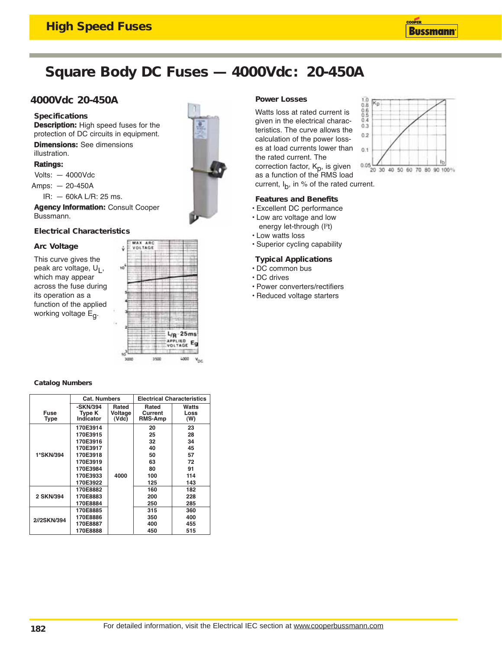# **Square Body DC Fuses — 4000Vdc: 20-450A**

## **4000Vdc 20-450A**

#### **Specifications**

**Description:** High speed fuses for the protection of DC circuits in equipment.

**Dimensions:** See dimensions illustration.

#### **Ratings:**

Volts: — 4000Vdc

Amps: — 20-450A

IR: — 60kA L/R: 25 ms.

**Agency Information:** Consult Cooper Bussmann.

## **Electrical Characteristics**

### **Arc Voltage**

This curve gives the peak arc voltage, U<sub>L</sub>, which may appear across the fuse during its operation as a function of the applied working voltage  $E_{\alpha}$ .



### **Catalog Numbers**

|                     | Cat. Numbers                           |                           | <b>Electrical Characteristics</b> |                      |  |
|---------------------|----------------------------------------|---------------------------|-----------------------------------|----------------------|--|
| Fuse<br><b>Type</b> | -SKN/394<br><b>Type K</b><br>Indicator | Rated<br>Voltage<br>(Vdc) | Rated<br>Current<br>RMS-Amp       | Watts<br>Loss<br>(W) |  |
|                     | 170E3914                               |                           | 20                                | 23                   |  |
|                     | 170E3915                               |                           | 25                                | 28                   |  |
|                     | 170E3916                               |                           | 32                                | 34                   |  |
|                     | 170E3917                               |                           | 40                                | 45                   |  |
| 1*SKN/394           | 170E3918                               |                           | 50                                | 57                   |  |
|                     | 170E3919                               |                           | 63                                | 72                   |  |
|                     | 170E3984                               |                           | 80                                | 91                   |  |
|                     | 170E3933                               | 4000                      | 100                               | 114                  |  |
|                     | 170E3922                               |                           | 125                               | 143                  |  |
|                     | 170E8882                               |                           | 160                               | 182                  |  |
| 2 SKN/394           | 170E8883                               |                           | 200                               | 228                  |  |
|                     | 170E8884                               |                           | 250                               | 285                  |  |
|                     | 170E8885                               |                           | 315                               | 360                  |  |
| 2//2SKN/394         | 170E8886                               |                           | 350                               | 400                  |  |
|                     | 170E8887                               |                           | 400                               | 455                  |  |
|                     | 170E8888                               |                           | 450                               | 515                  |  |

## **Power Losses**

Watts loss at rated current is given in the electrical characteristics. The curve allows the calculation of the power losses at load currents lower than the rated current. The correction factor,  $K_p$ , is given as a function of the RMS load current,  $I_b$ , in % of the rated current.

### **Features and Benefits**

- Excellent DC performance
- Low arc voltage and low energy let-through (l<sup>2</sup>t)
- Low watts loss
- Superior cycling capability

## **Typical Applications**

- DC common bus
- DC drives
- Power converters/rectifiers
- Reduced voltage starters

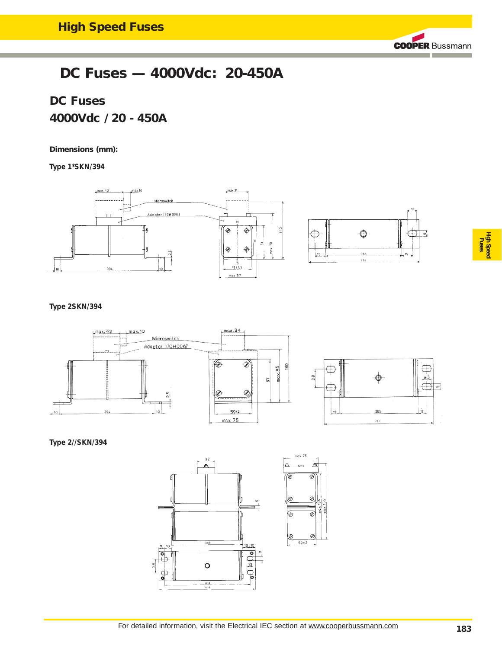## **DC Fuses — 4000Vdc: 20-450A**

## **DC Fuses 4000Vdc / 20 - 450A**

## **Dimensions (mm):**

**Type 1\*SKN/394**



**Type 2SKN/394**



**Type 2//SKN/394**





**High Speed Fuses**